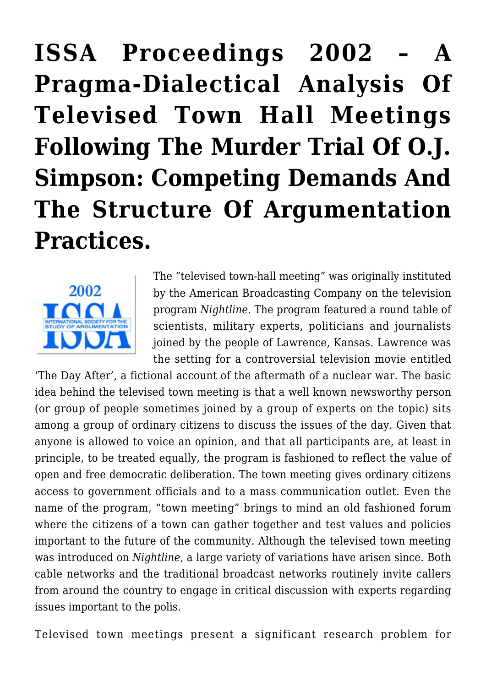# **[ISSA Proceedings 2002 – A](https://rozenbergquarterly.com/issa-proceedings-2002-a-pragma-dialectical-analysis-of-televised-town-hall-meetings-following-the-murder-trial-of-o-j-simpson-competing-demands-and-the-structure-of-argumentation-practices/) [Pragma-Dialectical Analysis Of](https://rozenbergquarterly.com/issa-proceedings-2002-a-pragma-dialectical-analysis-of-televised-town-hall-meetings-following-the-murder-trial-of-o-j-simpson-competing-demands-and-the-structure-of-argumentation-practices/) [Televised Town Hall Meetings](https://rozenbergquarterly.com/issa-proceedings-2002-a-pragma-dialectical-analysis-of-televised-town-hall-meetings-following-the-murder-trial-of-o-j-simpson-competing-demands-and-the-structure-of-argumentation-practices/) [Following The Murder Trial Of O.J.](https://rozenbergquarterly.com/issa-proceedings-2002-a-pragma-dialectical-analysis-of-televised-town-hall-meetings-following-the-murder-trial-of-o-j-simpson-competing-demands-and-the-structure-of-argumentation-practices/) [Simpson: Competing Demands And](https://rozenbergquarterly.com/issa-proceedings-2002-a-pragma-dialectical-analysis-of-televised-town-hall-meetings-following-the-murder-trial-of-o-j-simpson-competing-demands-and-the-structure-of-argumentation-practices/) [The Structure Of Argumentation](https://rozenbergquarterly.com/issa-proceedings-2002-a-pragma-dialectical-analysis-of-televised-town-hall-meetings-following-the-murder-trial-of-o-j-simpson-competing-demands-and-the-structure-of-argumentation-practices/) [Practices.](https://rozenbergquarterly.com/issa-proceedings-2002-a-pragma-dialectical-analysis-of-televised-town-hall-meetings-following-the-murder-trial-of-o-j-simpson-competing-demands-and-the-structure-of-argumentation-practices/)**



The "televised town-hall meeting" was originally instituted by the American Broadcasting Company on the television program *Nightline*. The program featured a round table of scientists, military experts, politicians and journalists joined by the people of Lawrence, Kansas. Lawrence was the setting for a controversial television movie entitled

'The Day After', a fictional account of the aftermath of a nuclear war. The basic idea behind the televised town meeting is that a well known newsworthy person (or group of people sometimes joined by a group of experts on the topic) sits among a group of ordinary citizens to discuss the issues of the day. Given that anyone is allowed to voice an opinion, and that all participants are, at least in principle, to be treated equally, the program is fashioned to reflect the value of open and free democratic deliberation. The town meeting gives ordinary citizens access to government officials and to a mass communication outlet. Even the name of the program, "town meeting" brings to mind an old fashioned forum where the citizens of a town can gather together and test values and policies important to the future of the community. Although the televised town meeting was introduced on *Nightline*, a large variety of variations have arisen since. Both cable networks and the traditional broadcast networks routinely invite callers from around the country to engage in critical discussion with experts regarding issues important to the polis.

Televised town meetings present a significant research problem for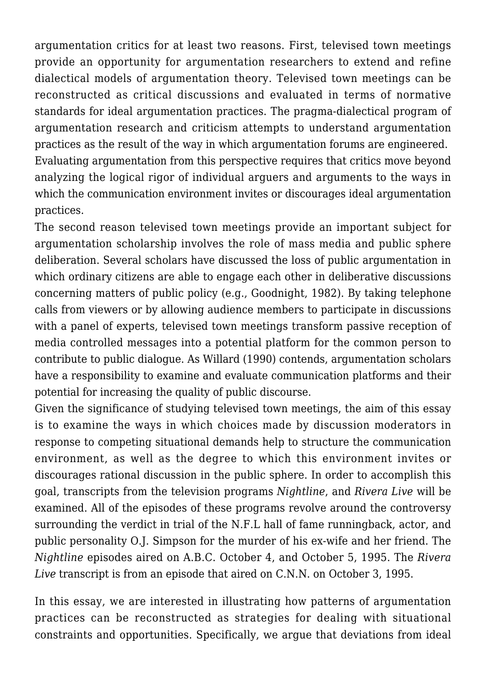argumentation critics for at least two reasons. First, televised town meetings provide an opportunity for argumentation researchers to extend and refine dialectical models of argumentation theory. Televised town meetings can be reconstructed as critical discussions and evaluated in terms of normative standards for ideal argumentation practices. The pragma-dialectical program of argumentation research and criticism attempts to understand argumentation practices as the result of the way in which argumentation forums are engineered. Evaluating argumentation from this perspective requires that critics move beyond analyzing the logical rigor of individual arguers and arguments to the ways in which the communication environment invites or discourages ideal argumentation practices.

The second reason televised town meetings provide an important subject for argumentation scholarship involves the role of mass media and public sphere deliberation. Several scholars have discussed the loss of public argumentation in which ordinary citizens are able to engage each other in deliberative discussions concerning matters of public policy (e.g., Goodnight, 1982). By taking telephone calls from viewers or by allowing audience members to participate in discussions with a panel of experts, televised town meetings transform passive reception of media controlled messages into a potential platform for the common person to contribute to public dialogue. As Willard (1990) contends, argumentation scholars have a responsibility to examine and evaluate communication platforms and their potential for increasing the quality of public discourse.

Given the significance of studying televised town meetings, the aim of this essay is to examine the ways in which choices made by discussion moderators in response to competing situational demands help to structure the communication environment, as well as the degree to which this environment invites or discourages rational discussion in the public sphere. In order to accomplish this goal, transcripts from the television programs *Nightline*, and *Rivera Live* will be examined. All of the episodes of these programs revolve around the controversy surrounding the verdict in trial of the N.F.L hall of fame runningback, actor, and public personality O.J. Simpson for the murder of his ex-wife and her friend. The *Nightline* episodes aired on A.B.C. October 4, and October 5, 1995. The *Rivera Live* transcript is from an episode that aired on C.N.N. on October 3, 1995.

In this essay, we are interested in illustrating how patterns of argumentation practices can be reconstructed as strategies for dealing with situational constraints and opportunities. Specifically, we argue that deviations from ideal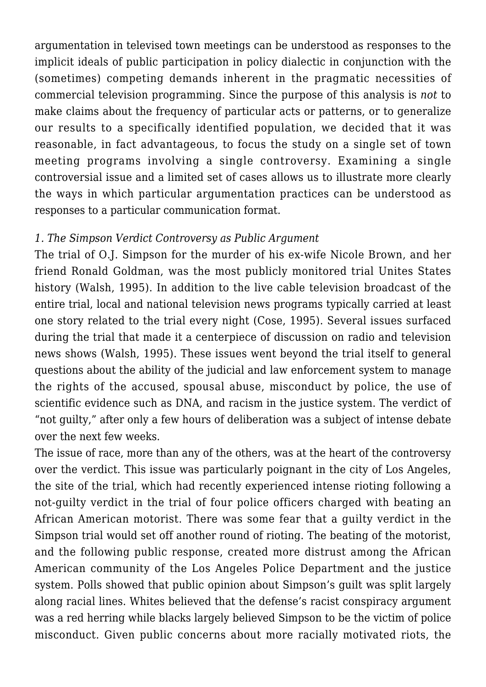argumentation in televised town meetings can be understood as responses to the implicit ideals of public participation in policy dialectic in conjunction with the (sometimes) competing demands inherent in the pragmatic necessities of commercial television programming. Since the purpose of this analysis is *not* to make claims about the frequency of particular acts or patterns, or to generalize our results to a specifically identified population, we decided that it was reasonable, in fact advantageous, to focus the study on a single set of town meeting programs involving a single controversy. Examining a single controversial issue and a limited set of cases allows us to illustrate more clearly the ways in which particular argumentation practices can be understood as responses to a particular communication format.

## *1. The Simpson Verdict Controversy as Public Argument*

The trial of O.J. Simpson for the murder of his ex-wife Nicole Brown, and her friend Ronald Goldman, was the most publicly monitored trial Unites States history (Walsh, 1995). In addition to the live cable television broadcast of the entire trial, local and national television news programs typically carried at least one story related to the trial every night (Cose, 1995). Several issues surfaced during the trial that made it a centerpiece of discussion on radio and television news shows (Walsh, 1995). These issues went beyond the trial itself to general questions about the ability of the judicial and law enforcement system to manage the rights of the accused, spousal abuse, misconduct by police, the use of scientific evidence such as DNA, and racism in the justice system. The verdict of "not guilty," after only a few hours of deliberation was a subject of intense debate over the next few weeks.

The issue of race, more than any of the others, was at the heart of the controversy over the verdict. This issue was particularly poignant in the city of Los Angeles, the site of the trial, which had recently experienced intense rioting following a not-guilty verdict in the trial of four police officers charged with beating an African American motorist. There was some fear that a guilty verdict in the Simpson trial would set off another round of rioting. The beating of the motorist, and the following public response, created more distrust among the African American community of the Los Angeles Police Department and the justice system. Polls showed that public opinion about Simpson's guilt was split largely along racial lines. Whites believed that the defense's racist conspiracy argument was a red herring while blacks largely believed Simpson to be the victim of police misconduct. Given public concerns about more racially motivated riots, the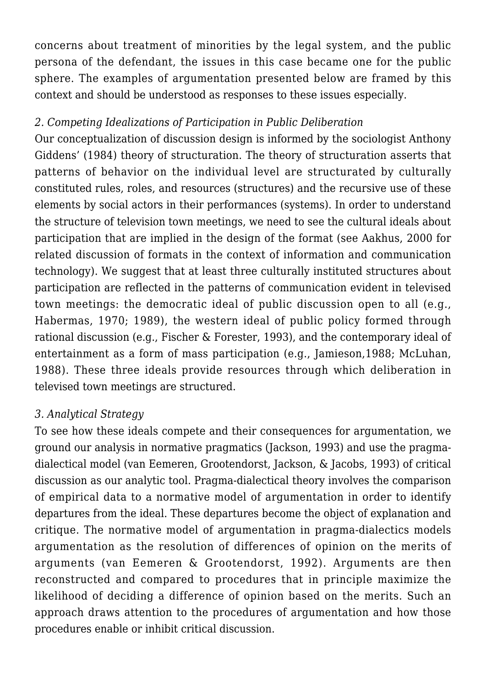concerns about treatment of minorities by the legal system, and the public persona of the defendant, the issues in this case became one for the public sphere. The examples of argumentation presented below are framed by this context and should be understood as responses to these issues especially.

## *2. Competing Idealizations of Participation in Public Deliberation*

Our conceptualization of discussion design is informed by the sociologist Anthony Giddens' (1984) theory of structuration. The theory of structuration asserts that patterns of behavior on the individual level are structurated by culturally constituted rules, roles, and resources (structures) and the recursive use of these elements by social actors in their performances (systems). In order to understand the structure of television town meetings, we need to see the cultural ideals about participation that are implied in the design of the format (see Aakhus, 2000 for related discussion of formats in the context of information and communication technology). We suggest that at least three culturally instituted structures about participation are reflected in the patterns of communication evident in televised town meetings: the democratic ideal of public discussion open to all (e.g., Habermas, 1970; 1989), the western ideal of public policy formed through rational discussion (e.g., Fischer & Forester, 1993), and the contemporary ideal of entertainment as a form of mass participation (e.g., Jamieson,1988; McLuhan, 1988). These three ideals provide resources through which deliberation in televised town meetings are structured.

## *3. Analytical Strategy*

To see how these ideals compete and their consequences for argumentation, we ground our analysis in normative pragmatics (Jackson, 1993) and use the pragmadialectical model (van Eemeren, Grootendorst, Jackson, & Jacobs, 1993) of critical discussion as our analytic tool. Pragma-dialectical theory involves the comparison of empirical data to a normative model of argumentation in order to identify departures from the ideal. These departures become the object of explanation and critique. The normative model of argumentation in pragma-dialectics models argumentation as the resolution of differences of opinion on the merits of arguments (van Eemeren & Grootendorst, 1992). Arguments are then reconstructed and compared to procedures that in principle maximize the likelihood of deciding a difference of opinion based on the merits. Such an approach draws attention to the procedures of argumentation and how those procedures enable or inhibit critical discussion.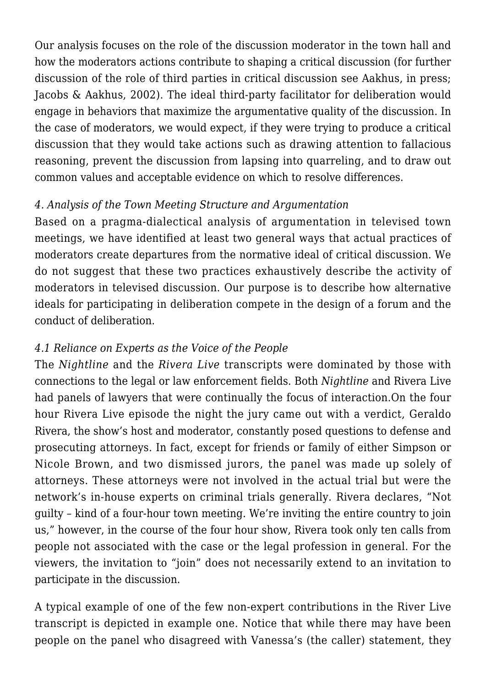Our analysis focuses on the role of the discussion moderator in the town hall and how the moderators actions contribute to shaping a critical discussion (for further discussion of the role of third parties in critical discussion see Aakhus, in press; Jacobs & Aakhus, 2002). The ideal third-party facilitator for deliberation would engage in behaviors that maximize the argumentative quality of the discussion. In the case of moderators, we would expect, if they were trying to produce a critical discussion that they would take actions such as drawing attention to fallacious reasoning, prevent the discussion from lapsing into quarreling, and to draw out common values and acceptable evidence on which to resolve differences.

## *4. Analysis of the Town Meeting Structure and Argumentation*

Based on a pragma-dialectical analysis of argumentation in televised town meetings, we have identified at least two general ways that actual practices of moderators create departures from the normative ideal of critical discussion. We do not suggest that these two practices exhaustively describe the activity of moderators in televised discussion. Our purpose is to describe how alternative ideals for participating in deliberation compete in the design of a forum and the conduct of deliberation.

# *4.1 Reliance on Experts as the Voice of the People*

The *Nightline* and the *Rivera Live* transcripts were dominated by those with connections to the legal or law enforcement fields. Both *Nightline* and Rivera Live had panels of lawyers that were continually the focus of interaction.On the four hour Rivera Live episode the night the jury came out with a verdict, Geraldo Rivera, the show's host and moderator, constantly posed questions to defense and prosecuting attorneys. In fact, except for friends or family of either Simpson or Nicole Brown, and two dismissed jurors, the panel was made up solely of attorneys. These attorneys were not involved in the actual trial but were the network's in-house experts on criminal trials generally. Rivera declares, "Not guilty – kind of a four-hour town meeting. We're inviting the entire country to join us," however, in the course of the four hour show, Rivera took only ten calls from people not associated with the case or the legal profession in general. For the viewers, the invitation to "join" does not necessarily extend to an invitation to participate in the discussion.

A typical example of one of the few non-expert contributions in the River Live transcript is depicted in example one. Notice that while there may have been people on the panel who disagreed with Vanessa's (the caller) statement, they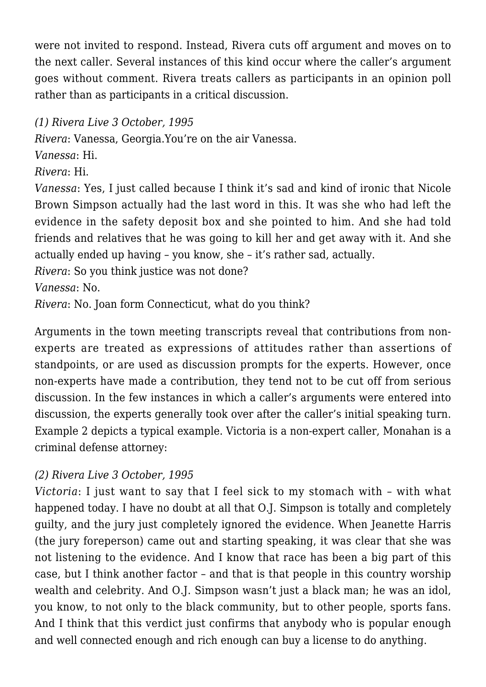were not invited to respond. Instead, Rivera cuts off argument and moves on to the next caller. Several instances of this kind occur where the caller's argument goes without comment. Rivera treats callers as participants in an opinion poll rather than as participants in a critical discussion.

# *(1) Rivera Live 3 October, 1995*

*Rivera*: Vanessa, Georgia.You're on the air Vanessa.

*Vanessa*: Hi.

*Rivera*: Hi.

*Vanessa*: Yes, I just called because I think it's sad and kind of ironic that Nicole Brown Simpson actually had the last word in this. It was she who had left the evidence in the safety deposit box and she pointed to him. And she had told friends and relatives that he was going to kill her and get away with it. And she actually ended up having – you know, she – it's rather sad, actually.

*Rivera*: So you think justice was not done?

*Vanessa*: No.

*Rivera*: No. Joan form Connecticut, what do you think?

Arguments in the town meeting transcripts reveal that contributions from nonexperts are treated as expressions of attitudes rather than assertions of standpoints, or are used as discussion prompts for the experts. However, once non-experts have made a contribution, they tend not to be cut off from serious discussion. In the few instances in which a caller's arguments were entered into discussion, the experts generally took over after the caller's initial speaking turn. Example 2 depicts a typical example. Victoria is a non-expert caller, Monahan is a criminal defense attorney:

# *(2) Rivera Live 3 October, 1995*

*Victoria*: I just want to say that I feel sick to my stomach with – with what happened today. I have no doubt at all that O.J. Simpson is totally and completely guilty, and the jury just completely ignored the evidence. When Jeanette Harris (the jury foreperson) came out and starting speaking, it was clear that she was not listening to the evidence. And I know that race has been a big part of this case, but I think another factor – and that is that people in this country worship wealth and celebrity. And O.J. Simpson wasn't just a black man; he was an idol, you know, to not only to the black community, but to other people, sports fans. And I think that this verdict just confirms that anybody who is popular enough and well connected enough and rich enough can buy a license to do anything.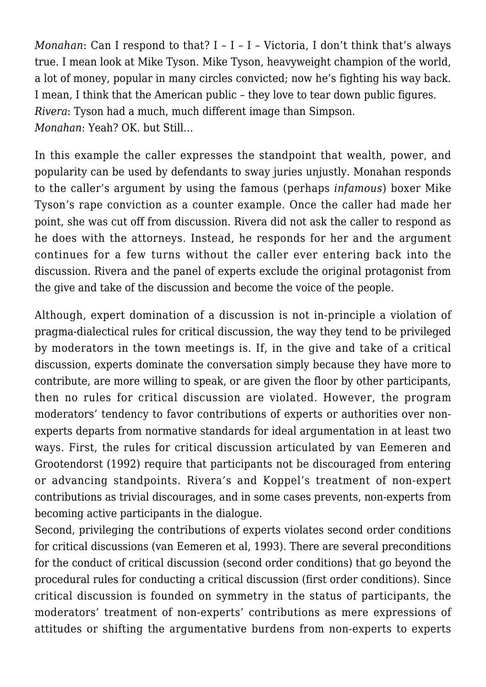*Monahan*: Can I respond to that? I – I – I – Victoria, I don't think that's always true. I mean look at Mike Tyson. Mike Tyson, heavyweight champion of the world, a lot of money, popular in many circles convicted; now he's fighting his way back. I mean, I think that the American public – they love to tear down public figures. *Rivera*: Tyson had a much, much different image than Simpson. *Monahan*: Yeah? OK. but Still…

In this example the caller expresses the standpoint that wealth, power, and popularity can be used by defendants to sway juries unjustly. Monahan responds to the caller's argument by using the famous (perhaps *infamous*) boxer Mike Tyson's rape conviction as a counter example. Once the caller had made her point, she was cut off from discussion. Rivera did not ask the caller to respond as he does with the attorneys. Instead, he responds for her and the argument continues for a few turns without the caller ever entering back into the discussion. Rivera and the panel of experts exclude the original protagonist from the give and take of the discussion and become the voice of the people.

Although, expert domination of a discussion is not in-principle a violation of pragma-dialectical rules for critical discussion, the way they tend to be privileged by moderators in the town meetings is. If, in the give and take of a critical discussion, experts dominate the conversation simply because they have more to contribute, are more willing to speak, or are given the floor by other participants, then no rules for critical discussion are violated. However, the program moderators' tendency to favor contributions of experts or authorities over nonexperts departs from normative standards for ideal argumentation in at least two ways. First, the rules for critical discussion articulated by van Eemeren and Grootendorst (1992) require that participants not be discouraged from entering or advancing standpoints. Rivera's and Koppel's treatment of non-expert contributions as trivial discourages, and in some cases prevents, non-experts from becoming active participants in the dialogue.

Second, privileging the contributions of experts violates second order conditions for critical discussions (van Eemeren et al, 1993). There are several preconditions for the conduct of critical discussion (second order conditions) that go beyond the procedural rules for conducting a critical discussion (first order conditions). Since critical discussion is founded on symmetry in the status of participants, the moderators' treatment of non-experts' contributions as mere expressions of attitudes or shifting the argumentative burdens from non-experts to experts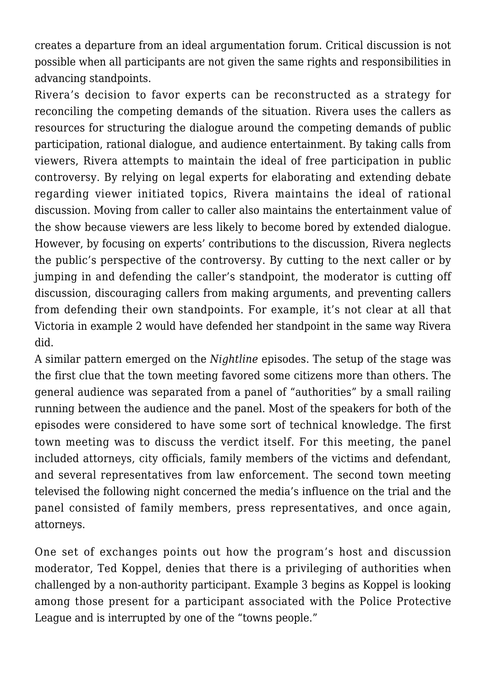creates a departure from an ideal argumentation forum. Critical discussion is not possible when all participants are not given the same rights and responsibilities in advancing standpoints.

Rivera's decision to favor experts can be reconstructed as a strategy for reconciling the competing demands of the situation. Rivera uses the callers as resources for structuring the dialogue around the competing demands of public participation, rational dialogue, and audience entertainment. By taking calls from viewers, Rivera attempts to maintain the ideal of free participation in public controversy. By relying on legal experts for elaborating and extending debate regarding viewer initiated topics, Rivera maintains the ideal of rational discussion. Moving from caller to caller also maintains the entertainment value of the show because viewers are less likely to become bored by extended dialogue. However, by focusing on experts' contributions to the discussion, Rivera neglects the public's perspective of the controversy. By cutting to the next caller or by jumping in and defending the caller's standpoint, the moderator is cutting off discussion, discouraging callers from making arguments, and preventing callers from defending their own standpoints. For example, it's not clear at all that Victoria in example 2 would have defended her standpoint in the same way Rivera did.

A similar pattern emerged on the *Nightline* episodes. The setup of the stage was the first clue that the town meeting favored some citizens more than others. The general audience was separated from a panel of "authorities" by a small railing running between the audience and the panel. Most of the speakers for both of the episodes were considered to have some sort of technical knowledge. The first town meeting was to discuss the verdict itself. For this meeting, the panel included attorneys, city officials, family members of the victims and defendant, and several representatives from law enforcement. The second town meeting televised the following night concerned the media's influence on the trial and the panel consisted of family members, press representatives, and once again, attorneys.

One set of exchanges points out how the program's host and discussion moderator, Ted Koppel, denies that there is a privileging of authorities when challenged by a non-authority participant. Example 3 begins as Koppel is looking among those present for a participant associated with the Police Protective League and is interrupted by one of the "towns people."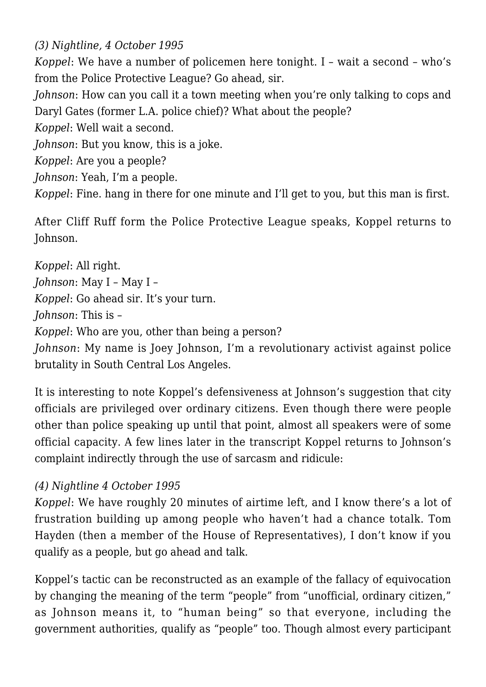*(3) Nightline, 4 October 1995*

*Koppel*: We have a number of policemen here tonight. I – wait a second – who's from the Police Protective League? Go ahead, sir.

*Johnson*: How can you call it a town meeting when you're only talking to cops and Daryl Gates (former L.A. police chief)? What about the people?

*Koppel*: Well wait a second.

*Johnson*: But you know, this is a joke.

*Koppel*: Are you a people?

*Johnson*: Yeah, I'm a people.

*Koppel*: Fine. hang in there for one minute and I'll get to you, but this man is first.

After Cliff Ruff form the Police Protective League speaks, Koppel returns to Johnson.

*Koppel*: All right. *Johnson*: May I – May I – *Koppel*: Go ahead sir. It's your turn. *Johnson*: This is – *Koppel*: Who are you, other than being a person? *Johnson*: My name is Joey Johnson, I'm a revolutionary activist against police brutality in South Central Los Angeles.

It is interesting to note Koppel's defensiveness at Johnson's suggestion that city officials are privileged over ordinary citizens. Even though there were people other than police speaking up until that point, almost all speakers were of some official capacity. A few lines later in the transcript Koppel returns to Johnson's complaint indirectly through the use of sarcasm and ridicule:

## *(4) Nightline 4 October 1995*

*Koppel*: We have roughly 20 minutes of airtime left, and I know there's a lot of frustration building up among people who haven't had a chance totalk. Tom Hayden (then a member of the House of Representatives), I don't know if you qualify as a people, but go ahead and talk.

Koppel's tactic can be reconstructed as an example of the fallacy of equivocation by changing the meaning of the term "people" from "unofficial, ordinary citizen," as Johnson means it, to "human being" so that everyone, including the government authorities, qualify as "people" too. Though almost every participant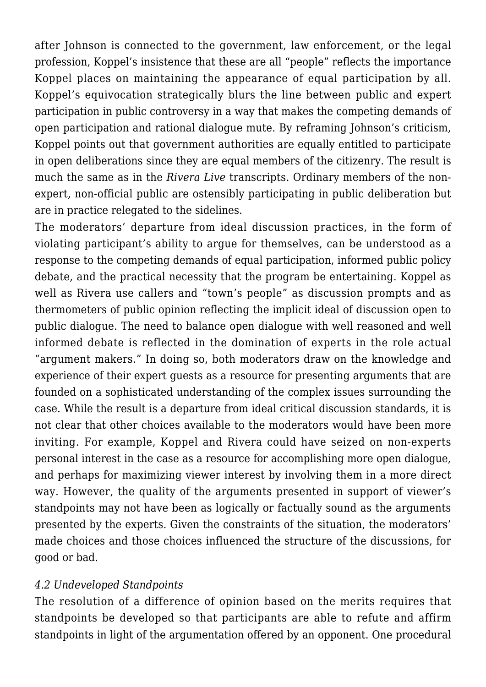after Johnson is connected to the government, law enforcement, or the legal profession, Koppel's insistence that these are all "people" reflects the importance Koppel places on maintaining the appearance of equal participation by all. Koppel's equivocation strategically blurs the line between public and expert participation in public controversy in a way that makes the competing demands of open participation and rational dialogue mute. By reframing Johnson's criticism, Koppel points out that government authorities are equally entitled to participate in open deliberations since they are equal members of the citizenry. The result is much the same as in the *Rivera Live* transcripts. Ordinary members of the nonexpert, non-official public are ostensibly participating in public deliberation but are in practice relegated to the sidelines.

The moderators' departure from ideal discussion practices, in the form of violating participant's ability to argue for themselves, can be understood as a response to the competing demands of equal participation, informed public policy debate, and the practical necessity that the program be entertaining. Koppel as well as Rivera use callers and "town's people" as discussion prompts and as thermometers of public opinion reflecting the implicit ideal of discussion open to public dialogue. The need to balance open dialogue with well reasoned and well informed debate is reflected in the domination of experts in the role actual "argument makers." In doing so, both moderators draw on the knowledge and experience of their expert guests as a resource for presenting arguments that are founded on a sophisticated understanding of the complex issues surrounding the case. While the result is a departure from ideal critical discussion standards, it is not clear that other choices available to the moderators would have been more inviting. For example, Koppel and Rivera could have seized on non-experts personal interest in the case as a resource for accomplishing more open dialogue, and perhaps for maximizing viewer interest by involving them in a more direct way. However, the quality of the arguments presented in support of viewer's standpoints may not have been as logically or factually sound as the arguments presented by the experts. Given the constraints of the situation, the moderators' made choices and those choices influenced the structure of the discussions, for good or bad.

#### *4.2 Undeveloped Standpoints*

The resolution of a difference of opinion based on the merits requires that standpoints be developed so that participants are able to refute and affirm standpoints in light of the argumentation offered by an opponent. One procedural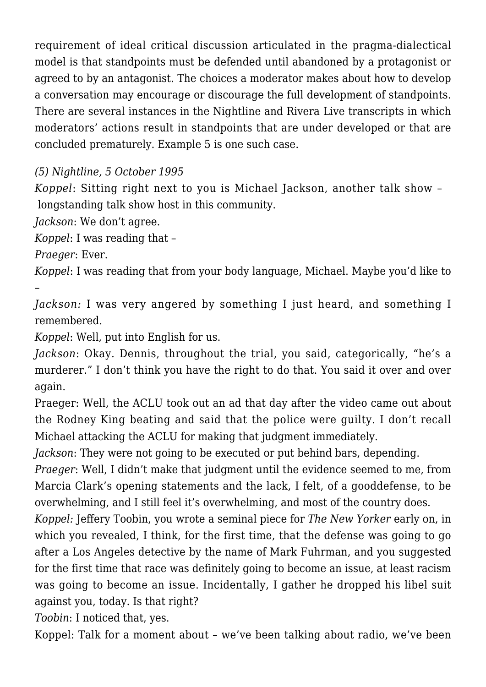requirement of ideal critical discussion articulated in the pragma-dialectical model is that standpoints must be defended until abandoned by a protagonist or agreed to by an antagonist. The choices a moderator makes about how to develop a conversation may encourage or discourage the full development of standpoints. There are several instances in the Nightline and Rivera Live transcripts in which moderators' actions result in standpoints that are under developed or that are concluded prematurely. Example 5 is one such case.

# *(5) Nightline, 5 October 1995*

*Koppel*: Sitting right next to you is Michael Jackson, another talk show – longstanding talk show host in this community.

*Jackson*: We don't agree.

*Koppel*: I was reading that –

*Praeger*: Ever.

–

*Koppel*: I was reading that from your body language, Michael. Maybe you'd like to

*Jackson:* I was very angered by something I just heard, and something I remembered.

*Koppel*: Well, put into English for us.

*Jackson*: Okay. Dennis, throughout the trial, you said, categorically, "he's a murderer." I don't think you have the right to do that. You said it over and over again.

Praeger: Well, the ACLU took out an ad that day after the video came out about the Rodney King beating and said that the police were guilty. I don't recall Michael attacking the ACLU for making that judgment immediately.

*Jackson*: They were not going to be executed or put behind bars, depending.

*Praeger*: Well, I didn't make that judgment until the evidence seemed to me, from Marcia Clark's opening statements and the lack, I felt, of a gooddefense, to be overwhelming, and I still feel it's overwhelming, and most of the country does.

*Koppel:* Jeffery Toobin, you wrote a seminal piece for *The New Yorker* early on, in which you revealed, I think, for the first time, that the defense was going to go after a Los Angeles detective by the name of Mark Fuhrman, and you suggested for the first time that race was definitely going to become an issue, at least racism was going to become an issue. Incidentally, I gather he dropped his libel suit against you, today. Is that right?

*Toobin*: I noticed that, yes.

Koppel: Talk for a moment about – we've been talking about radio, we've been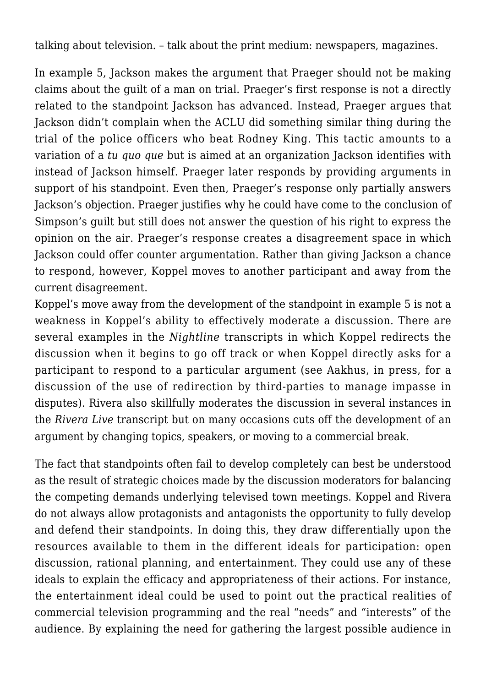talking about television. – talk about the print medium: newspapers, magazines.

In example 5, Jackson makes the argument that Praeger should not be making claims about the guilt of a man on trial. Praeger's first response is not a directly related to the standpoint Jackson has advanced. Instead, Praeger argues that Jackson didn't complain when the ACLU did something similar thing during the trial of the police officers who beat Rodney King. This tactic amounts to a variation of a *tu quo que* but is aimed at an organization Jackson identifies with instead of Jackson himself. Praeger later responds by providing arguments in support of his standpoint. Even then, Praeger's response only partially answers Jackson's objection. Praeger justifies why he could have come to the conclusion of Simpson's guilt but still does not answer the question of his right to express the opinion on the air. Praeger's response creates a disagreement space in which Jackson could offer counter argumentation. Rather than giving Jackson a chance to respond, however, Koppel moves to another participant and away from the current disagreement.

Koppel's move away from the development of the standpoint in example 5 is not a weakness in Koppel's ability to effectively moderate a discussion. There are several examples in the *Nightline* transcripts in which Koppel redirects the discussion when it begins to go off track or when Koppel directly asks for a participant to respond to a particular argument (see Aakhus, in press, for a discussion of the use of redirection by third-parties to manage impasse in disputes). Rivera also skillfully moderates the discussion in several instances in the *Rivera Live* transcript but on many occasions cuts off the development of an argument by changing topics, speakers, or moving to a commercial break.

The fact that standpoints often fail to develop completely can best be understood as the result of strategic choices made by the discussion moderators for balancing the competing demands underlying televised town meetings. Koppel and Rivera do not always allow protagonists and antagonists the opportunity to fully develop and defend their standpoints. In doing this, they draw differentially upon the resources available to them in the different ideals for participation: open discussion, rational planning, and entertainment. They could use any of these ideals to explain the efficacy and appropriateness of their actions. For instance, the entertainment ideal could be used to point out the practical realities of commercial television programming and the real "needs" and "interests" of the audience. By explaining the need for gathering the largest possible audience in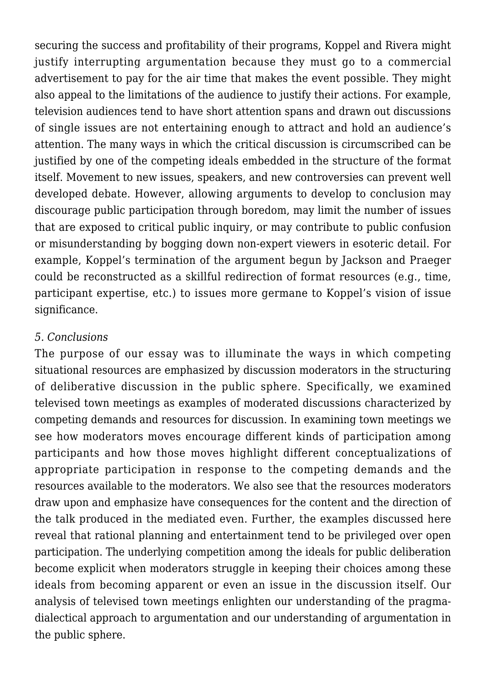securing the success and profitability of their programs, Koppel and Rivera might justify interrupting argumentation because they must go to a commercial advertisement to pay for the air time that makes the event possible. They might also appeal to the limitations of the audience to justify their actions. For example, television audiences tend to have short attention spans and drawn out discussions of single issues are not entertaining enough to attract and hold an audience's attention. The many ways in which the critical discussion is circumscribed can be justified by one of the competing ideals embedded in the structure of the format itself. Movement to new issues, speakers, and new controversies can prevent well developed debate. However, allowing arguments to develop to conclusion may discourage public participation through boredom, may limit the number of issues that are exposed to critical public inquiry, or may contribute to public confusion or misunderstanding by bogging down non-expert viewers in esoteric detail. For example, Koppel's termination of the argument begun by Jackson and Praeger could be reconstructed as a skillful redirection of format resources (e.g., time, participant expertise, etc.) to issues more germane to Koppel's vision of issue significance.

#### *5. Conclusions*

The purpose of our essay was to illuminate the ways in which competing situational resources are emphasized by discussion moderators in the structuring of deliberative discussion in the public sphere. Specifically, we examined televised town meetings as examples of moderated discussions characterized by competing demands and resources for discussion. In examining town meetings we see how moderators moves encourage different kinds of participation among participants and how those moves highlight different conceptualizations of appropriate participation in response to the competing demands and the resources available to the moderators. We also see that the resources moderators draw upon and emphasize have consequences for the content and the direction of the talk produced in the mediated even. Further, the examples discussed here reveal that rational planning and entertainment tend to be privileged over open participation. The underlying competition among the ideals for public deliberation become explicit when moderators struggle in keeping their choices among these ideals from becoming apparent or even an issue in the discussion itself. Our analysis of televised town meetings enlighten our understanding of the pragmadialectical approach to argumentation and our understanding of argumentation in the public sphere.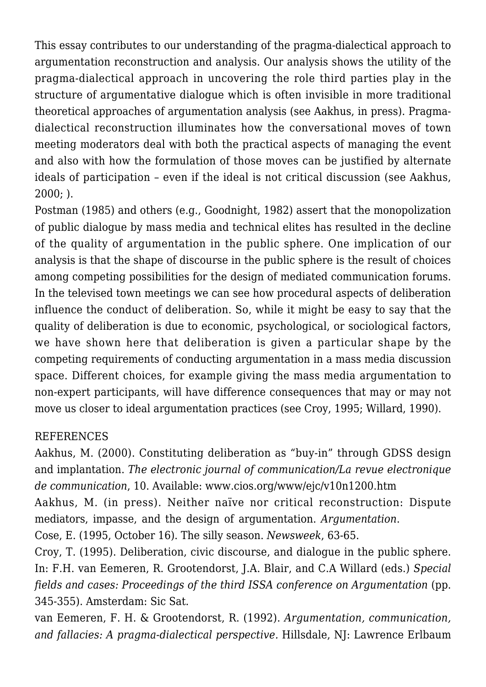This essay contributes to our understanding of the pragma-dialectical approach to argumentation reconstruction and analysis. Our analysis shows the utility of the pragma-dialectical approach in uncovering the role third parties play in the structure of argumentative dialogue which is often invisible in more traditional theoretical approaches of argumentation analysis (see Aakhus, in press). Pragmadialectical reconstruction illuminates how the conversational moves of town meeting moderators deal with both the practical aspects of managing the event and also with how the formulation of those moves can be justified by alternate ideals of participation – even if the ideal is not critical discussion (see Aakhus, 2000; ).

Postman (1985) and others (e.g., Goodnight, 1982) assert that the monopolization of public dialogue by mass media and technical elites has resulted in the decline of the quality of argumentation in the public sphere. One implication of our analysis is that the shape of discourse in the public sphere is the result of choices among competing possibilities for the design of mediated communication forums. In the televised town meetings we can see how procedural aspects of deliberation influence the conduct of deliberation. So, while it might be easy to say that the quality of deliberation is due to economic, psychological, or sociological factors, we have shown here that deliberation is given a particular shape by the competing requirements of conducting argumentation in a mass media discussion space. Different choices, for example giving the mass media argumentation to non-expert participants, will have difference consequences that may or may not move us closer to ideal argumentation practices (see Croy, 1995; Willard, 1990).

#### REFERENCES

Aakhus, M. (2000). Constituting deliberation as "buy-in" through GDSS design and implantation. *The electronic journal of communication/La revue electronique de communication*, 10. Available: www.cios.org/www/ejc/v10n1200.htm Aakhus, M. (in press). Neither naïve nor critical reconstruction: Dispute mediators, impasse, and the design of argumentation. *Argumentation*.

Cose, E. (1995, October 16). The silly season. *Newsweek*, 63-65.

Croy, T. (1995). Deliberation, civic discourse, and dialogue in the public sphere. In: F.H. van Eemeren, R. Grootendorst, J.A. Blair, and C.A Willard (eds.) *Special fields and cases: Proceedings of the third ISSA conference on Argumentation* (pp. 345-355). Amsterdam: Sic Sat.

van Eemeren, F. H. & Grootendorst, R. (1992). *Argumentation, communication, and fallacies: A pragma-dialectical perspective.* Hillsdale, NJ: Lawrence Erlbaum